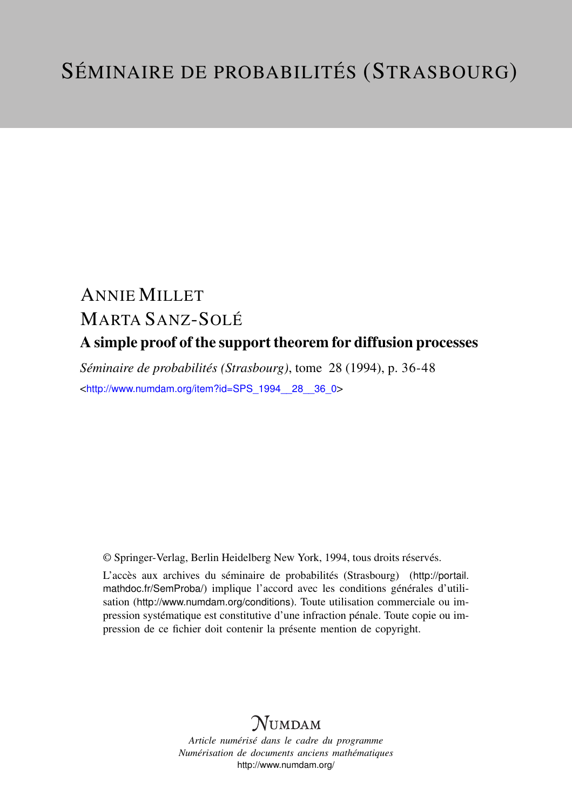# ANNIE MILLET MARTA SANZ-SOLÉ A simple proof of the support theorem for diffusion processes

*Séminaire de probabilités (Strasbourg)*, tome 28 (1994), p. 36-48 <[http://www.numdam.org/item?id=SPS\\_1994\\_\\_28\\_\\_36\\_0](http://www.numdam.org/item?id=SPS_1994__28__36_0)>

© Springer-Verlag, Berlin Heidelberg New York, 1994, tous droits réservés.

L'accès aux archives du séminaire de probabilités (Strasbourg) ([http://portail.](http://portail.mathdoc.fr/SemProba/) [mathdoc.fr/SemProba/](http://portail.mathdoc.fr/SemProba/)) implique l'accord avec les conditions générales d'utilisation (<http://www.numdam.org/conditions>). Toute utilisation commerciale ou impression systématique est constitutive d'une infraction pénale. Toute copie ou impression de ce fichier doit contenir la présente mention de copyright.

# **NUMDAM**

*Article numérisé dans le cadre du programme Numérisation de documents anciens mathématiques* <http://www.numdam.org/>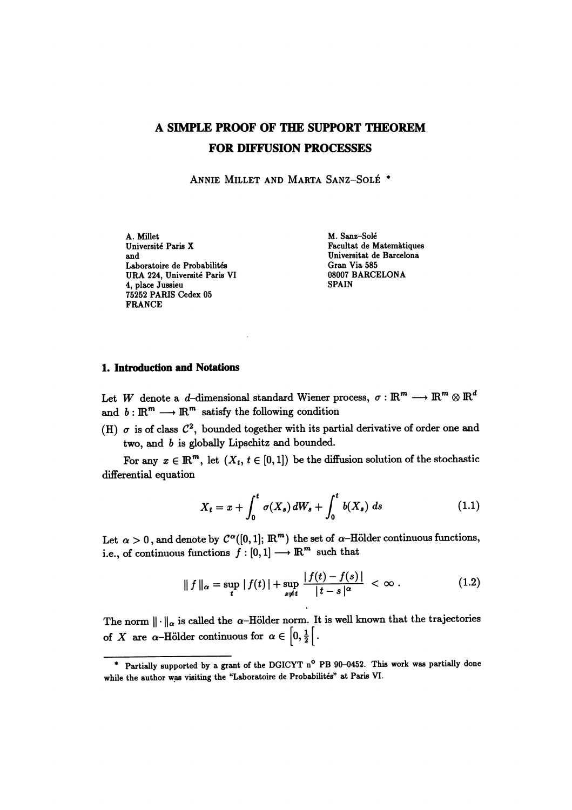# A SIMPLE PROOF OF THE SUPPORT THEOREM FOR DIFFUSION PROCESSES

ANNIE MILLET AND MARTA SANZ-SOLÉ \*

A. Millet M. Sanz-Solé Université Paris X Facultat de Matemàtiques and Facultat de Barcelona (Figure 1964) et al. (Figure 1964) Universitat de Barcelona (Figure 1965) et al. (Figure 1966) et al. (Figure 1966) et al. (Figure 1966) et al. (Figure Laboratoire de Probabilites Gran Via 585 URA 224, Universite Paris VI 08007 BARCELONA 4, place Jussieu 75252 PARIS Cedex 05 FRANCE

Universitat de Barcelona<br>Gran Via 585

### 1. Introduction and Notations

Let W denote a d-dimensional standard Wiener process,  $\sigma: \mathbb{R}^m \longrightarrow \mathbb{R}^m \otimes \mathbb{R}^d$ and  $b : \mathbb{R}^m \longrightarrow \mathbb{R}^m$  satisfy the following condition

(H)  $\sigma$  is of class  $\mathcal{C}^2$ , bounded together with its partial derivative of order one and two, and b is globally Lipschitz and bounded.

For any  $x \in \mathbb{R}^m$ , let  $(X_t, t \in [0,1])$  be the diffusion solution of the stochastic differential equation

$$
X_t = x + \int_0^t \sigma(X_s) dW_s + \int_0^t b(X_s) ds \qquad (1.1)
$$

Let  $\alpha > 0$ , and denote by  $C^{\alpha}([0,1]; \mathbb{R}^m)$  the set of  $\alpha$ -Hölder continuous functions, i.e., of continuous functions  $f : [0,1] \longrightarrow \mathbb{R}^m$  such that

$$
\|f\|_{\alpha} = \sup_{t} |f(t)| + \sup_{s \neq t} \frac{|f(t) - f(s)|}{|t - s|^{\alpha}} < \infty.
$$
 (1.2)

The norm  $\|\cdot\|_{\alpha}$  is called the  $\alpha$ -Hölder norm. It is well known that the trajectories of X are  $\alpha$ -Hölder continuous for  $\alpha \in [0, \frac{1}{2}]$ .

<sup>\*</sup> Partially supported by a grant of the DGICYT n<sup>o</sup> PB 90-0452. This work was partially done while the author was visiting the "Laboratoire de Probabilités" at Paris VI.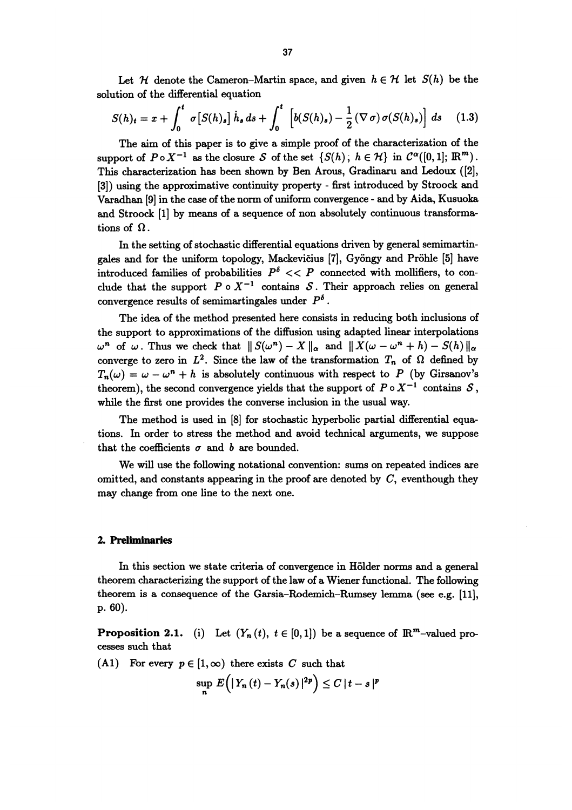Let  $\mathcal H$  denote the Cameron-Martin space, and given  $h \in \mathcal H$  let  $S(h)$  be the solution of the differential equation

$$
S(h)_t = x + \int_0^t \sigma[S(h)_s] \dot{h}_s ds + \int_0^t \left[ b(S(h)_s) - \frac{1}{2} (\nabla \sigma) \sigma(S(h)_s) \right] ds \quad (1.3)
$$

The aim of this paper is to give a simple proof of the characterization of the support of  $P \circ X^{-1}$  as the closure S of the set  $\{S(h)\,;\,h \in \mathcal{H}\}\$ in  $\mathcal{C}^{\alpha}([0,1]; \mathbb{R}^m)$ . This characterization has been shown by Ben Arous, Gradinaru and Ledoux ([2], [3]) using the approximative continuity property - first introduced by Stroock and Varadhan [9] in the case of the norm of uniform convergence - and by Aida, Kusuoka and Stroock [1] by means of a sequence of non absolutely continuous transformations of  $\Omega$ .

In the setting of stochastic differential equations driven by general semimartingales and for the uniform topology, Mackevicius [7], Gyongy and Prohle [5] have introduced families of probabilities  $P^{\delta} << P$  connected with mollifiers, to conclude that the support  $P \circ X^{-1}$  contains S. Their approach relies on general convergence results of semimartingales under  $P^{\delta}$ .

The idea of the method presented here consists in reducing both inclusions of the support to approximations of the diffusion using adapted linear interpolations  $\omega^{n}$  of  $\omega$ . Thus we check that  $||S(\omega^{n}) - X||_{\alpha}$  and  $||X(\omega - \omega^{n} + h) - S(h)||_{\alpha}$ converge to zero in  $L^2$ . Since the law of the transformation  $T_n$  of  $\Omega$  defined by  $T_n(\omega) = \omega - \omega^n + h$  is absolutely continuous with respect to P (by Girsanov's theorem), the second convergence yields that the support of  $P \circ X^{-1}$  contains  $S$ , while the first one provides the converse inclusion in the usual way.

The method is used in [8] for stochastic hyperbolic partial differential equations. In order to stress the method and avoid technical arguments, we suppose that the coefficients  $\sigma$  and b are bounded.

We will use the following notational convention: sums on repeated indices are omitted, and constants appearing in the proof are denoted by  $C$ , eventhough they may change from one line to the next one.

#### 2. Preliminaries

In this section we state criteria of convergence in Hölder norms and a general theorem characterizing the support of the law of a Wiener functional. The following theorem is a consequence of the Garsia-Rodemich-Rumsey lemma (see e.g. [11], p. 60).

**Proposition 2.1.** (i) Let  $(Y_n(t), t \in [0,1])$  be a sequence of  $\mathbb{R}^m$ -valued processes such that

(A1) For every  $p \in [1,\infty)$  there exists C such that

$$
\sup_n E\Big(\big|Y_n\left(t\right)-Y_n(s)\big|^2\Big)\leq C\,|t-s|^p
$$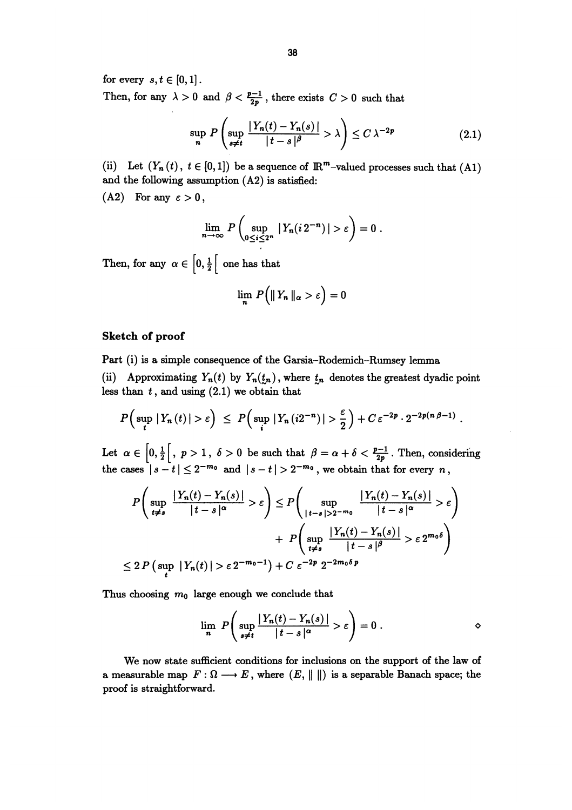for every  $s, t \in [0,1]$ .

Then, for any  $\lambda > 0$  and  $\beta < \frac{p-1}{2p}$ , there exists  $C > 0$  such that

$$
\sup_{n} P\left(\sup_{s\neq t} \frac{|Y_n(t) - Y_n(s)|}{|t-s|^\beta} > \lambda\right) \leq C \lambda^{-2p} \tag{2.1}
$$

(ii) Let  $(Y_n(t), t \in [0,1])$  be a sequence of  $\mathbb{R}^m$ -valued processes such that  $(A1)$ and the following assumption (A2) is satisfied:

(A2) For any  $\varepsilon > 0$ ,

$$
\lim_{n\to\infty} P\left(\sup_{0\leq i\leq 2^n} |Y_n(i2^{-n})|>\varepsilon\right)=0.
$$

Then, for any  $\alpha \in \left[0, \frac{1}{2}\right[$  one has that

$$
\lim_{n} P\Big(\|\,Y_n\,\|_{\alpha} > \varepsilon\Big) = 0
$$

## Sketch of proof

Part (i) is a simple consequence of the Garsia-Rodemich-Rumsey lemma

(ii) Approximating  $Y_n(t)$  by  $Y_n(t_n)$ , where  $t_n$  denotes the greatest dyadic point less than  $t$ , and using  $(2.1)$  we obtain that

$$
P\Big(\sup_{t}|Y_n(t)|>\varepsilon\Big)\ \leq\ P\Big(\sup_{i}|Y_n(i2^{-n})|>\frac{\varepsilon}{2}\Big)+C\,\varepsilon^{-2p}\cdot2^{-2p(n\,\beta-1)}\ .
$$

Let  $\alpha \in \left[0, \frac{1}{2}\right[, p > 1, \ \delta > 0$  be such that  $\beta = \alpha + \delta < \frac{p-1}{2p}$ . Then, considering the cases  $|s-t| \leq 2^{-m_0}$  and  $|s-t| > 2^{-m_0}$ , we obtain that for every n,

$$
P\left(\sup_{t\neq s} \frac{|Y_n(t) - Y_n(s)|}{|t - s|^{\alpha}} > \varepsilon\right) \leq P\left(\sup_{\substack{|t - s| > 2^{-m_0} \\ t\neq s}} \frac{|Y_n(t) - Y_n(s)|}{|t - s|^{\alpha}} > \varepsilon\right)
$$

$$
+ P\left(\sup_{t\neq s} \frac{|Y_n(t) - Y_n(s)|}{|t - s|^{\beta}} > \varepsilon 2^{m_0 \delta}\right)
$$

$$
\leq 2 P\left(\sup_{t} |Y_n(t)| > \varepsilon 2^{-m_0 - 1}\right) + C \varepsilon^{-2p} 2^{-2m_0 \delta p}
$$

Thus choosing  $m_0$  large enough we conclude that

$$
\lim_{n} P\left(\sup_{s\neq t} \frac{|Y_n(t)-Y_n(s)|}{|t-s|^{\alpha}} > \varepsilon\right) = 0.
$$

We now state sufficient conditions for inclusions on the support of the law of a measurable map  $F: \Omega \longrightarrow E$ , where  $(E, || ||)$  is a separable Banach space; the proof is straightforward.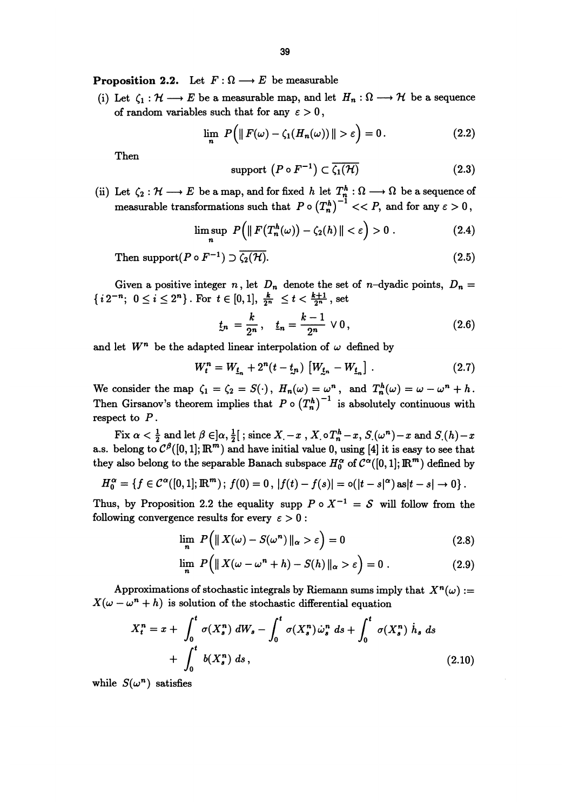**Proposition 2.2.** Let  $F: \Omega \longrightarrow E$  be measurable

(i) Let  $\zeta_1 : \mathcal{H} \longrightarrow E$  be a measurable map, and let  $H_n : \Omega \longrightarrow \mathcal{H}$  be a sequence of random variables such that for any  $\varepsilon > 0$ ,

$$
\lim_{n} P\Big(\|F(\omega) - \zeta_1(H_n(\omega))\| > \varepsilon\Big) = 0. \tag{2.2}
$$

Then  
support 
$$
(P \circ F^{-1}) \subset \overline{\zeta_1(\mathcal{H})}
$$
 (2.3)

(ii) Let  $\zeta_2 : \mathcal{H} \longrightarrow E$  be a map, and for fixed h let  $T_n^h : \Omega \longrightarrow \Omega$  be a sequence of measurable transformations such that  $P \circ (T_n^h)^{-1} << P$ , and for any  $\varepsilon > 0$ ,

$$
\limsup_{n} P\Big(\|F\big(T_n^h(\omega)\big) - \zeta_2(h)\| < \varepsilon\Big) > 0\,. \tag{2.4}
$$

Then support( $P \circ F^{-1}$ )  $\supset \overline{\zeta_2(\mathcal{H})}$ . (2.5)

Given a positive integer n, let  $D_n$  denote the set of n-dyadic points,  $D_n =$  ${i2^{-n}}; 0 \leq i \leq 2^n$ . For  $t \in [0,1], \frac{k}{2^n} \leq t < \frac{k+1}{2^n}$ , set

$$
t_n = \frac{k}{2^n}, \quad t_n = \frac{k-1}{2^n} \vee 0,
$$
\n(2.6)

and let  $W^n$  be the adapted linear interpolation of  $\omega$  defined by

$$
W_t^n = W_{\underline{t}_n} + 2^n(t - t_n) \left[ W_{\underline{t}_n} - W_{\underline{t}_n} \right]. \tag{2.7}
$$

We consider the map  $\zeta_1 = \zeta_2 = S(\cdot), H_n(\omega) = \omega^n$ , and  $T_n^h(\omega) = \omega - \omega^n + h$ . Then Girsanov's theorem implies that  $P \circ (T_n^h)^{-1}$  is absolutely continuous with respect to  $P$ .

Fix  $\alpha < \frac{1}{2}$  and let  $\beta \in ]\alpha, \frac{1}{2}[$ ; since  $X - x$ ,  $X \circ T_n^h - x$ ,  $S(\omega^n) - x$  and  $S(h) - x$ a.s. belong to  $C^{\beta}([0,1]; \mathbb{R}^m)$  and have initial value 0, using [4] it is easy to see that they also belong to the separable Banach subspace  $H_0^{\alpha}$  of  $C^{\alpha}([0,1]; \mathbb{R}^m)$  defined by

$$
H_0^{\alpha} = \{f \in C^{\alpha}([0,1];\mathbb{R}^m) \, ; \, f(0) = 0 \, , \, |f(t) - f(s)| = o(|t - s|^{\alpha}) \, \text{as} |t - s| \to 0 \} \, .
$$

Thus, by Proposition 2.2 the equality supp  $P \circ X^{-1} = S$  will follow from the following convergence results for every  $\varepsilon > 0$ :

$$
\lim_{n} P\left(\|X(\omega) - S(\omega^{n})\|_{\alpha} > \varepsilon\right) = 0
$$
\n(2.8)

$$
\lim_{n} P(|X(\omega - \omega^{n} + h) - S(h)||_{\alpha} > \varepsilon) = 0.
$$
 (2.9)

Approximations of stochastic integrals by Riemann sums imply that  $X^n(\omega) :=$  $X(\omega - \omega^{n} + h)$  is solution of the stochastic differential equation

$$
X_t^n = x + \int_0^t \sigma(X_s^n) dW_s - \int_0^t \sigma(X_s^n) \dot{\omega}_s^n ds + \int_0^t \sigma(X_s^n) \dot{h}_s ds + \int_0^t b(X_s^n) ds,
$$
\n(2.10)

while  $S(\omega^n)$  satisfies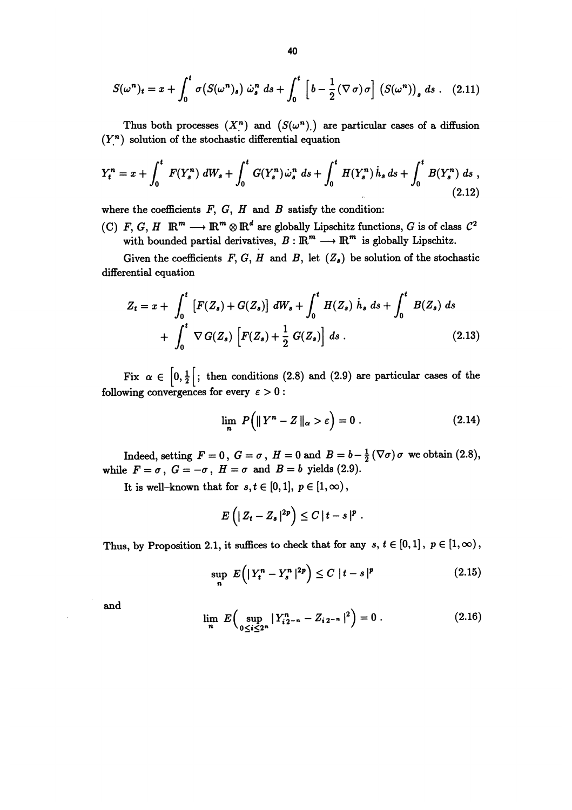$$
S(\omega^n)_t = x + \int_0^t \sigma(S(\omega^n)_s) \dot{\omega}_s^n ds + \int_0^t \left[ b - \frac{1}{2} (\nabla \sigma) \sigma \right] \left( S(\omega^n) \right)_s ds \qquad (2.11)
$$

Thus both processes  $(X^n)$  and  $(S(\omega^n))$  are particular cases of a diffusion  $(Y<sup>n</sup>)$  solution of the stochastic differential equation

$$
Y_t^n = x + \int_0^t F(Y_s^n) dW_s + \int_0^t G(Y_s^n) \dot{\omega}_s^n ds + \int_0^t H(Y_s^n) \dot{h}_s ds + \int_0^t B(Y_s^n) ds , \qquad (2.12)
$$

where the coefficients  $F, G, H$  and  $B$  satisfy the condition:

(C) F, G, H  $\mathbb{R}^m \longrightarrow \mathbb{R}^m \otimes \mathbb{R}^d$  are globally Lipschitz functions, G is of class  $C^2$ with bounded partial derivatives,  $B: \mathbb{R}^m \longrightarrow \mathbb{R}^m$  is globally Lipschitz.

Given the coefficients  $F, G, H$  and  $B$ , let  $(Z_s)$  be solution of the stochastic differential equation

$$
Z_{t} = x + \int_{0}^{t} \left[ F(Z_{s}) + G(Z_{s}) \right] dW_{s} + \int_{0}^{t} H(Z_{s}) \dot{h}_{s} ds + \int_{0}^{t} B(Z_{s}) ds + \int_{0}^{t} \nabla G(Z_{s}) \left[ F(Z_{s}) + \frac{1}{2} G(Z_{s}) \right] ds .
$$
\n(2.13)

Fix  $\alpha \in \left[0, \frac{1}{2}\right[$ ; then conditions (2.8) and (2.9) are particular cases of the following convergences for every  $\varepsilon > 0$ :

$$
\lim_{n} P\left(\|Y^{n} - Z\|_{\alpha} > \varepsilon\right) = 0. \tag{2.14}
$$

Indeed, setting  $F=0$ ,  $G=\sigma$ ,  $H=0$  and  $B=b-\frac{1}{2}(\nabla\sigma)\sigma$  we obtain (2.8), while  $F=\sigma$ ,  $G=-\sigma$ ,  $H=\sigma$  and  $B=b$  yields (2.9).

It is well-known that for  $s, t \in [0,1], p \in [1,\infty)$ ,

$$
E\left(|Z_t-Z_s|^{2p}\right)\leq C\,|t-s|^p.
$$

Thus, by Proposition 2.1, it suffices to check that for any  $s, t \in [0,1], p \in [1,\infty)$ ,

$$
\sup_{n} E(|Y_{t}^{n} - Y_{s}^{n}|^{2p}) \leq C |t - s|^{p}
$$
\n(2.15)

and

$$
\lim_{n} E\left(\sup_{0\leq i\leq 2^{n}} |Y_{i2^{-n}}^{n} - Z_{i2^{-n}}|^{2}\right) = 0.
$$
 (2.16)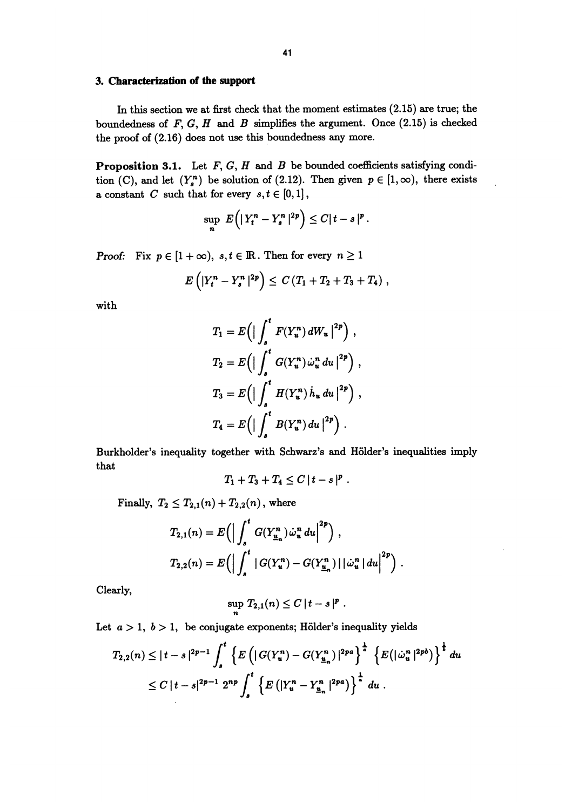### 3. Characterization of the support

In this section we at first check that the moment estimates (2.15) are true; the boundedness of  $F$ ,  $G$ ,  $H$  and  $B$  simplifies the argument. Once (2.15) is checked the proof of  $(2.16)$  does not use this boundedness any more.

**Proposition 3.1.** Let  $F$ ,  $G$ ,  $H$  and  $B$  be bounded coefficients satisfying condition (C), and let  $(Y^n)$  be solution of (2.12). Then given  $p \in [1,\infty)$ , there exists a constant C such that for every  $s, t \in [0,1]$ ,

$$
\sup_n E(|Y_t^n-Y_s^n|^{2p})\leq C|t-s|^p.
$$

**Proof:** Fix  $p \in [1 + \infty)$ ,  $s, t \in \mathbb{R}$ . Then for every  $n \ge 1$ 

$$
E\left(|Y_t^n-Y_s^n|^{2p}\right)\leq C(T_1+T_2+T_3+T_4),
$$

with

$$
T_1 = E\left(\Big|\int_s^t F(Y_u^n) dW_u\Big|^{2p}\right),
$$
  
\n
$$
T_2 = E\left(\Big|\int_s^t G(Y_u^n) \dot{\omega}_u^n du\Big|^{2p}\right),
$$
  
\n
$$
T_3 = E\left(\Big|\int_s^t H(Y_u^n) \dot{h}_u du\Big|^{2p}\right),
$$
  
\n
$$
T_4 = E\left(\Big|\int_s^t B(Y_u^n) du\Big|^{2p}\right).
$$

Burkholder's inequality together with Schwarz's and Hölder's inequalities imply that

$$
T_1+T_3+T_4\leq C |t-s|^p.
$$

Finally,  $T_2 \leq T_{2,1}(n) + T_{2,2}(n)$ , where

$$
T_{2,1}(n) = E\left(\left|\int_s^t G(Y_{\underline{u}_n}^n) \dot{\omega}_u^n du\right|^{2p}\right),
$$
  

$$
T_{2,2}(n) = E\left(\left|\int_s^t |G(Y_u^n) - G(Y_{\underline{u}_n}^n) | |\dot{\omega}_u^n| du\right|^{2p}\right).
$$

Clearly,

$$
\sup_n T_{2,1}(n) \leq C |t-s|^p.
$$

Let  $a > 1$ ,  $b > 1$ , be conjugate exponents; Hölder's inequality yields

$$
T_{2,2}(n) \leq |t-s|^{2p-1} \int_s^t \left\{ E\left( |G(Y_u^n) - G(Y_{\underline{u}_n}^n)|^{2pa} \right)^{\frac{1}{a}} \left\{ E(|\dot{\omega}_u^n|^{2pb}) \right\}^{\frac{1}{b}} du
$$
  

$$
\leq C |t-s|^{2p-1} 2^{np} \int_s^t \left\{ E\left( |Y_u^n - Y_{\underline{u}_n}^n|^{2pa} \right) \right\}^{\frac{1}{a}} du.
$$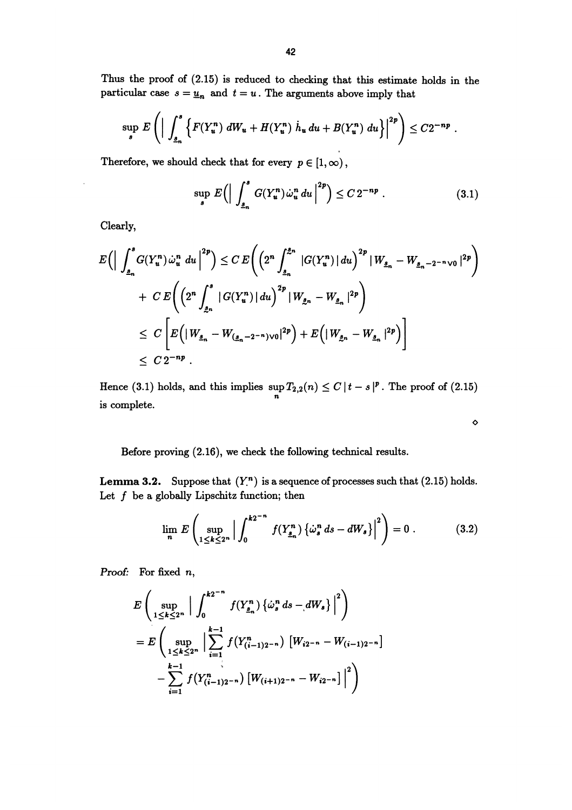Thus the proof of (2.15) is reduced to checking that this estimate holds in the particular case  $s = \underline{u}_n$  and  $t = u$ . The arguments above imply that

$$
\sup_{s} E\left(\Big|\int_{\underline{s}_{n}}^{s} \Big\{F(Y_{u}^{n}) dW_{u} + H(Y_{u}^{n}) \dot{h}_{u} du + B(Y_{u}^{n}) du\Big\}\Big|^{2p}\right) \leq C2^{-np}.
$$

Therefore, we should check that for every  $p \in [1,\infty)$ ,

$$
\sup_{s} E\left(\Big|\int_{\underline{s}_{n}}^{s} G(Y_{u}^{n}) \dot{\omega}_{u}^{n} du\Big|^{2p}\right) \leq C 2^{-np} . \tag{3.1}
$$

Clearly,

$$
E\Big(\Big|\int_{\underline{s}_{n}}^{s} G(Y_{u}^{n}) \dot{\omega}_{u}^{n} du \Big|^{2p}\Big) \leq C E\Big(\Big(2^{n} \int_{\underline{s}_{n}}^{\underline{s}_{n}} |G(Y_{u}^{n})| du\Big)^{2p} |W_{\underline{s}_{n}} - W_{\underline{s}_{n} - 2^{-n} \vee 0}|^{2p}\Big) + C E\Big(\Big(2^{n} \int_{\underline{s}_{n}}^{s} |G(Y_{u}^{n})| du\Big)^{2p} |W_{\underline{s}_{n}} - W_{\underline{s}_{n}}|^{2p}\Big) \leq C \Bigg[E\Big(|W_{\underline{s}_{n}} - W_{(\underline{s}_{n} - 2^{-n}) \vee 0}|^{2p}\Big) + E\Big(|W_{\underline{s}_{n}} - W_{\underline{s}_{n}}|^{2p}\Big)\Big] \leq C 2^{-np} .
$$

Hence (3.1) holds, and this implies  $\sup_{n} T_{2,2}(n) \leq C |t-s|^p$ . The proof of (2.15) is complete.

Before proving (2.16), we check the following technical results.

**Lemma 3.2.** Suppose that  $(Y<sup>n</sup>)$  is a sequence of processes such that  $(2.15)$  holds. Let  $f$  be a globally Lipschitz function; then

$$
\lim_{n} E\left(\sup_{1\leq k\leq 2^n} \Big|\int_0^{k2^{-n}} f(Y_{\underline{s}_n}^n) \left\{\omega_s^n ds - dW_s\right\}\Big|^2\right) = 0.
$$
 (3.2)

 $\ddot{\mathbf{0}}$ 

Proof: For fixed n,

$$
E\left(\sup_{1\leq k\leq 2^n} \Big| \int_0^{k2^{-n}} f(Y_{\underline{s}_n}^n) \left\{\omega_s^n ds - dW_s\right\} \Big|^2\right)
$$
  
= 
$$
E\left(\sup_{1\leq k\leq 2^n} \Big| \sum_{i=1}^{k-1} f(Y_{(i-1)2^{-n}}^n) \left[W_{i2^{-n}} - W_{(i-1)2^{-n}}\right] - \sum_{i=1}^{k-1} f(Y_{(i-1)2^{-n}}^n) \left[W_{(i+1)2^{-n}} - W_{i2^{-n}}\right] \Big|^2\right)
$$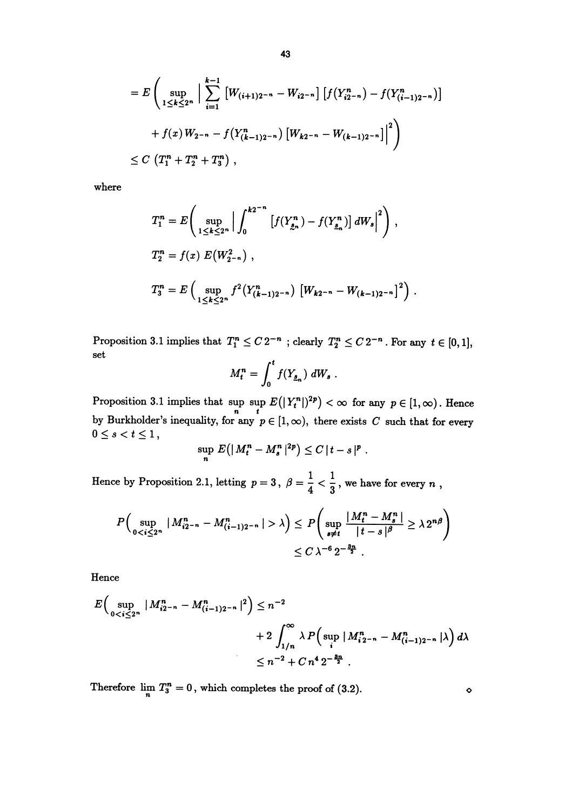$$
= E\left(\sup_{1\leq k\leq 2^n} \Big| \sum_{i=1}^{k-1} \left[W_{(i+1)2^{-n}} - W_{i2^{-n}}\right] \left[f(Y_{i2^{-n}}^n) - f(Y_{(i-1)2^{-n}}^n)\right] \right.
$$
  
+  $f(x) W_{2^{-n}} - f(Y_{(k-1)2^{-n}}^n) \left[W_{k2^{-n}} - W_{(k-1)2^{-n}}\right] \Big|^2$   

$$
\leq C \left(T_1^n + T_2^n + T_3^n\right),
$$

where

$$
T_1^n = E\left(\sup_{1 \le k \le 2^n} \Big| \int_0^{k2^{-n}} \left[ f(Y_{\underline{s}_n}^n) - f(Y_{\underline{s}_n}^n) \right] dW_s \Big|^2 \right),
$$
  
\n
$$
T_2^n = f(x) E(W_{2^{-n}}^2),
$$
  
\n
$$
T_3^n = E\left(\sup_{1 \le k \le 2^n} f^2(Y_{(k-1)2^{-n}}^n) \left[W_{k2^{-n}} - W_{(k-1)2^{-n}}\right]^2\right).
$$

Proposition 3.1 implies that  $T_1^n \leq C 2^{-n}$ ; clearly  $T_2^n \leq C 2^{-n}$ . For any  $t \in [0,1]$ , set

$$
M_t^n = \int_0^t f(Y_{\underline{s}_n}) dW_s.
$$

Proposition 3.1 implies that  $\sup_{n} E(|Y_t^n|)^{2p} < \infty$  for any  $p \in [1, \infty)$ . Hence by Burkholder's inequality, for any  $p \in [1, \infty)$ , there exists C such that for every

$$
\sup_n E(|M^n_t - M^n_s|^{2p}) \leq C |t - s|^p.
$$

Hence by Proposition 2.1, letting  $p = 3$ ,  $\beta = \frac{1}{4} < \frac{1}{3}$ , we have for every n,

$$
P\Big(\sup_{0 \lambda\Big) \leq P\Big(\sup_{s\neq t} \frac{|M_t^n - M_s^n|}{|t-s|^\beta} \geq \lambda 2^{n\beta}\Big)
$$
  

$$
\leq C\lambda^{-6} 2^{-\frac{3n}{2}}.
$$

Hence

$$
E\Big(\sup_{0  
+2 $\int_{1/n}^{\infty} \lambda P\Big(\sup_i |M_{i2^{-n}}^n - M_{(i-1)2^{-n}}^n|\lambda\Big) d\lambda$   
 $\leq n^{-2} + C n^4 2^{-\frac{3n}{2}}$ .
$$

Therefore  $\lim_{n} T_3^n = 0$ , which completes the proof of (3.2).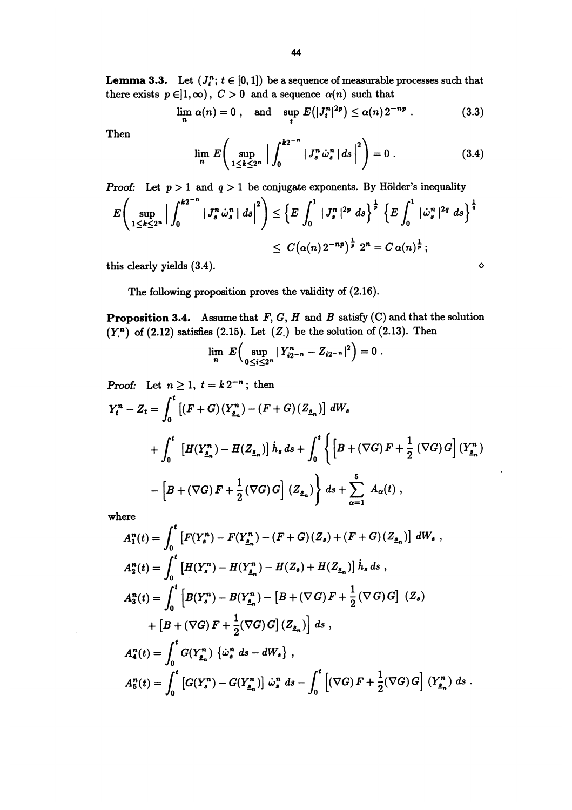**Lemma 3.3.** Let  $(J_i^n; t \in [0,1])$  be a sequence of measurable processes such that there exists  $p \in ]1,\infty)$ ,  $C > 0$  and a sequence  $\alpha(n)$  such that

$$
\lim_{n} \alpha(n) = 0, \text{ and } \sup_{t} E(|J_{t}^{n}|^{2p}) \le \alpha(n) 2^{-np}. \tag{3.3}
$$
  
Then

Then

$$
\lim_{n} E\left(\sup_{1 \leq k \leq 2^{n}} \left| \int_{0}^{k2^{-n}} |J_{s}^{n} \dot{\omega}_{s}^{n}| ds \right|^{2} \right) = 0.
$$
 (3.4)

**Proof:** Let  $p > 1$  and  $q > 1$  be conjugate exponents. By Hölder's inequality

$$
E\left(\sup_{1\leq k\leq 2^n} \Big|\int_0^{k2^{-n}} |J_s^n\,\dot{\omega}_s^n| \,ds\Big|^2\right) \leq \left\{E\int_0^1 |J_s^n|^{2p} \,ds\right\}^{\frac{1}{p}} \left\{E\int_0^1 |\dot{\omega}_s^n|^{2q} \,ds\right\}^{\frac{1}{q}}
$$
  

$$
\leq C(\alpha(n)2^{-np})^{\frac{1}{p}} 2^n = C\,\alpha(n)^{\frac{1}{p}};
$$

this clearly yields  $(3.4)$ .

The following proposition proves the validity of (2.16).

**Proposition 3.4.** Assume that  $F$ ,  $G$ ,  $H$  and  $B$  satisfy  $(C)$  and that the solution  $(Y<sup>n</sup>)$  of (2.12) satisfies (2.15). Let  $(Z<sub>n</sub>)$  be the solution of (2.13). Then

$$
\lim_{n} E\left(\sup_{0\leq i\leq 2^n} |Y_{i2^{-n}}^n - Z_{i2^{-n}}|^2\right) = 0.
$$

Proof: Let  $n \geq 1$ ,  $t = k 2^{-n}$ ; then  $Y_t^n - Z_t = \int_0^t [(F+G)(Y_{\underline{s}_n}^n) - (F+G)(Z_{\underline{s}_n})]dW_s$  $+~ \int_0^t~\left[H(Y^n_{_{\Delta_n}})-H(Z_{_{\Delta_n}})\right]\dot{h}_s\,ds + \int_0^t \left\{\left[B+\left(\nabla G\right)F+\frac{1}{2}\left(\nabla G\right)G\right](Y^n_{_{\Delta_n}}) \right. \nonumber \\ - \left[B+\left(\nabla G\right)F+\frac{1}{2}\left(\nabla G\right)G\right](Z_{_{\Delta_n}}) \right\}~ds + \sum_{n=1}^5~A_\alpha(t)~,$ 

where

$$
A_1^n(t) = \int_0^t \left[ F(Y_s^n) - F(Y_{\underline{s}_n}^n) - (F + G)(Z_s) + (F + G)(Z_{\underline{s}_n}) \right] dW_s,
$$
  
\n
$$
A_2^n(t) = \int_0^t \left[ H(Y_s^n) - H(Y_{\underline{s}_n}^n) - H(Z_s) + H(Z_{\underline{s}_n}) \right] \dot{h}_s ds,
$$
  
\n
$$
A_3^n(t) = \int_0^t \left[ B(Y_s^n) - B(Y_{\underline{s}_n}^n) - \left[ B + (\nabla G) F + \frac{1}{2} (\nabla G) G \right] (Z_s) + \left[ B + (\nabla G) F + \frac{1}{2} (\nabla G) G \right] (Z_s) \right.
$$
  
\n
$$
A_4^n(t) = \int_0^t G(Y_{\underline{s}_n}^n) \left\{ \dot{\omega}_s^n ds - dW_s \right\},
$$
  
\n
$$
A_5^n(t) = \int_0^t \left[ G(Y_s^n) - G(Y_{\underline{s}_n}^n) \right] \dot{\omega}_s^n ds - \int_0^t \left[ (\nabla G) F + \frac{1}{2} (\nabla G) G \right] (Y_{\underline{s}_n}^n) ds.
$$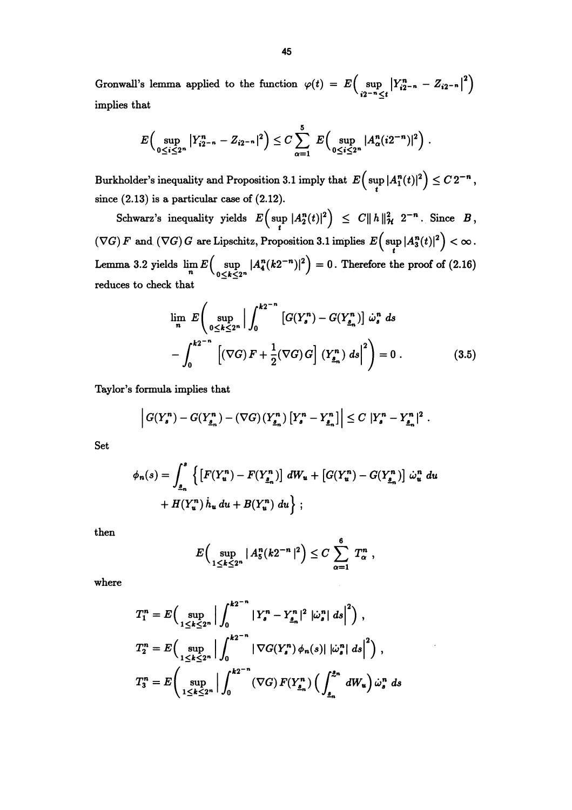Gronwall's lemma applied to the function  $\varphi(t) = E \Big( \sup_{i2^{-n} \leq t} |Y_{i2^{-n}}^n - Z_{i2^{-n}}|^2 \Big)$ implies that

$$
E\Big(\sup_{0\leq i\leq 2^n}|Y_{i2^{-n}}^n-Z_{i2^{-n}}|^2\Big)\leq C\sum_{\alpha=1}^5\ E\Big(\sup_{0\leq i\leq 2^n}|A_\alpha^n(i2^{-n})|^2\Big)\ .
$$

Burkholder's inequality and Proposition 3.1 imply that  $E\Big(\sup_{t}|A_1^n(t)|^2\Big)\leq C\, 2^{-n}\, ,$ since (2.13) is a particular case of (2.12).

Schwarz's inequality yields  $E\left(\sup_t |A_2^n(t)|^2\right) \leq C \|h\|_{\mathcal{H}}^2 2^{-n}$ . Since  $B$ ,  $F(\nabla G) F \text{ and } (\nabla G) G \text{ are Lipschitz, Proposition 3.1 implies } E\left(\sup_t |A_3^n(t)|^2\right) < \infty.$ Lemma 3.2 yields  $\lim_{n} E\left(\sup_{0 \le k \le 2^n} |A_4^n(k2^{-n})|^2\right) = 0$ . Therefore the proof of (2.16) reduces to check that

$$
\lim_{n} E\left(\sup_{0\leq k\leq 2^{n}}\left|\int_{0}^{k2^{-n}}\left[G(Y_{s}^{n})-G(Y_{\underline{s}_{n}}^{n})\right]\dot{\omega}_{s}^{n} ds\right|\right.
$$

$$
-\int_{0}^{k2^{-n}}\left[\left(\nabla G\right)F+\frac{1}{2}(\nabla G)\,G\right]\left(Y_{\underline{s}_{n}}^{n}\right)ds\big|^{2}\right)=0.
$$
(3.5)

Taylor's formula implies that

$$
\left| G(Y_s^n) - G(Y_{\underline{s}_n}^n) - (\nabla G)(Y_{\underline{s}_n}^n) \left[ Y_s^n - Y_{\underline{s}_n}^n \right] \right| \leq C \left| Y_s^n - Y_{\underline{s}_n}^n \right|^2.
$$

Set

$$
\phi_n(s) = \int_{\underline{s}_n}^s \left\{ \left[ F(Y_u^n) - F(Y_{\underline{s}_n}^n) \right] dW_u + \left[ G(Y_u^n) - G(Y_{\underline{s}_n}^n) \right] \dot{\omega}_u^n du + H(Y_u^n) \dot{h}_u du + B(Y_u^n) du \right\};
$$

then

$$
E\Big(\sup_{1\leq k\leq 2^n}|A_{5}^n(k2^{-n}|^2\Big)\leq C\sum_{\alpha=1}^6 T_\alpha^n,
$$

where **where**  $\blacksquare$ 

$$
T_1^n = E\Big(\sup_{1 \le k \le 2^n} \Big| \int_0^{k2^{-n}} |Y_s^n - Y_{\underline{s}_n}^n|^2 |\dot{\omega}_s^n| ds \Big|^2\Big),
$$
  
\n
$$
T_2^n = E\Big(\sup_{1 \le k \le 2^n} \Big| \int_0^{k2^{-n}} |\nabla G(Y_s^n) \phi_n(s)| |\dot{\omega}_s^n| ds \Big|^2\Big),
$$
  
\n
$$
T_3^n = E\Big(\sup_{1 \le k \le 2^n} \Big| \int_0^{k2^{-n}} (\nabla G) F(Y_{\underline{s}_n}^n) \Big(\int_{\underline{s}_n}^{\underline{s}_n} dW_u\Big) \dot{\omega}_s^n ds
$$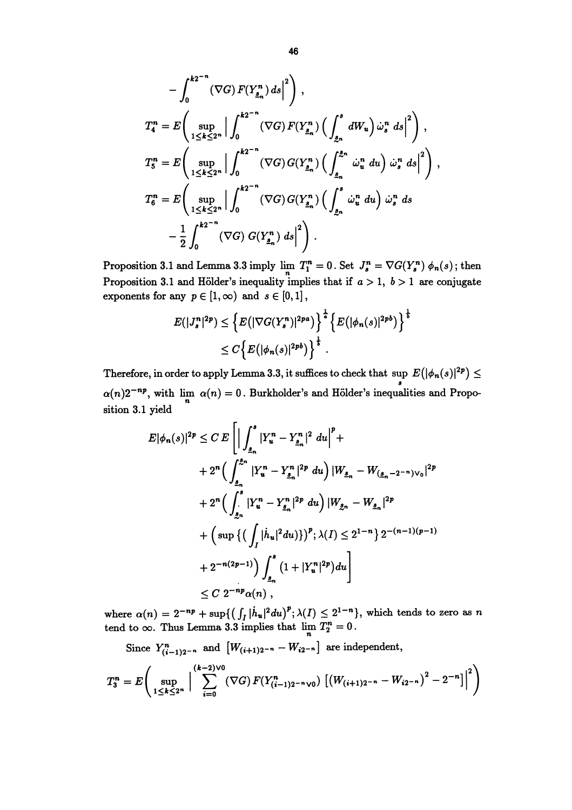$$
-\int_{0}^{k_{2}^{n}} (\nabla G) F(Y_{\underline{s}_{n}}^{n}) ds \Big|^{2} \Bigg),
$$
  
\n
$$
T_{4}^{n} = E \Bigg( \sup_{1 \leq k \leq 2^{n}} \Big| \int_{0}^{k_{2}^{n}} (\nabla G) F(Y_{\underline{s}_{n}}^{n}) \Big( \int_{\underline{s}_{n}}^{s} dW_{u} \Big) \omega_{s}^{n} ds \Big|^{2} \Bigg),
$$
  
\n
$$
T_{5}^{n} = E \Bigg( \sup_{1 \leq k \leq 2^{n}} \Big| \int_{0}^{k_{2}^{n}} (\nabla G) G(Y_{\underline{s}_{n}}^{n}) \Big( \int_{\underline{s}_{n}}^{s_{n}} \dot{\omega}_{u}^{n} du \Big) \omega_{s}^{n} ds \Big|^{2} \Bigg),
$$
  
\n
$$
T_{6}^{n} = E \Bigg( \sup_{1 \leq k \leq 2^{n}} \Big| \int_{0}^{k_{2}^{n}} (\nabla G) G(Y_{\underline{s}_{n}}^{n}) \Big( \int_{\underline{s}_{n}}^{s} \dot{\omega}_{u}^{n} du \Big) \dot{\omega}_{s}^{n} ds
$$
  
\n
$$
- \frac{1}{2} \int_{0}^{k_{2}^{n}} (\nabla G) G(Y_{\underline{s}_{n}}^{n}) ds \Big|^{2} \Bigg).
$$

Proposition 3.1 and Lemma 3.3 imply  $\lim_{n} T_1^n = 0$ . Set  $J_s^n = \nabla G(Y_s^n) \phi_n(s)$ ; then Proposition 3.1 and Hölder's inequality implies that if  $a > 1$ ,  $b > 1$  are conjugate exponents for any  $p \in [1, \infty)$  and  $s \in [0, 1]$ ,

$$
E(|J_s^n|^{2p}) \leq \left\{ E(|\nabla G(Y_s^n)|^{2p a}) \right\}^{\frac{1}{a}} \left\{ E(|\phi_n(s)|^{2p b}) \right\}^{\frac{1}{b}}
$$
  

$$
\leq C \left\{ E(|\phi_n(s)|^{2p b}) \right\}^{\frac{1}{b}}.
$$

Therefore, in order to apply Lemma 3.3, it suffices to check that sup  $E(|\phi_n(s)|^{2p}) \le$  $\alpha(n)2^{-np}$ , with  $\lim_{n} \alpha(n) = 0$ . Burkholder's and Hölder's inequalities and Proposition 3.1 yield

$$
E|\phi_n(s)|^{2p} \leq C E \left[ \Big| \int_{\underline{s}_n}^s |Y_u^n - Y_{\underline{s}_n}^n|^2 du \Big|^p + \Big|
$$
  
+  $2^n \Big( \int_{\underline{s}_n}^{\underline{s}_n} |Y_u^n - Y_{\underline{s}_n}^n|^{2p} du \Big) |W_{\underline{s}_n} - W_{(\underline{s}_n - 2^{-n})\vee_0}|^{2p} \Big|$   
+  $2^n \Big( \int_{\underline{s}_n}^s |Y_u^n - Y_{\underline{s}_n}^n|^{2p} du \Big) |W_{\underline{s}_n} - W_{\underline{s}_n}|^{2p} \Big|$   
+  $\Big( \sup \Big\{ \Big( \int_I |\dot{h}_u|^2 du \Big) \Big\} \Big)^p; \lambda(I) \leq 2^{1-n} \Big\} 2^{-(n-1)(p-1)} \Big\}$   
+  $2^{-n(2p-1)} \Big) \int_{\underline{s}_n}^s \Big( 1 + |Y_u^n|^{2p} \Big) du \Big]$   
 $\leq C 2^{-np} \alpha(n),$ 

where  $\alpha(n) = 2^{-np} + \sup\{ \left( \int_I |\dot{h}_u|^2 du \right)^p; \lambda(I) \leq 2^{1-n} \},\$  which tends to zero as n tend to  $\infty$ . Thus Lemma 3.3 implies that  $\lim_{n} T_{2}^{n} = 0$ .

Since  $Y_{(i-1)2^{-n}}^n$  and  $[W_{(i+1)2^{-n}} - W_{i2^{-n}}]$  are independent,

$$
T_3^n = E\left(\sup_{1 \leq k \leq 2^n} \Big| \sum_{i=0}^{(k-2)\vee 0} (\nabla G) \, F(Y_{(i-1)2^{-n}\vee 0}^n) \left[ \left(W_{(i+1)2^{-n}} - W_{i2^{-n}}\right)^2 - 2^{-n}\right] \Big|^2 \right)
$$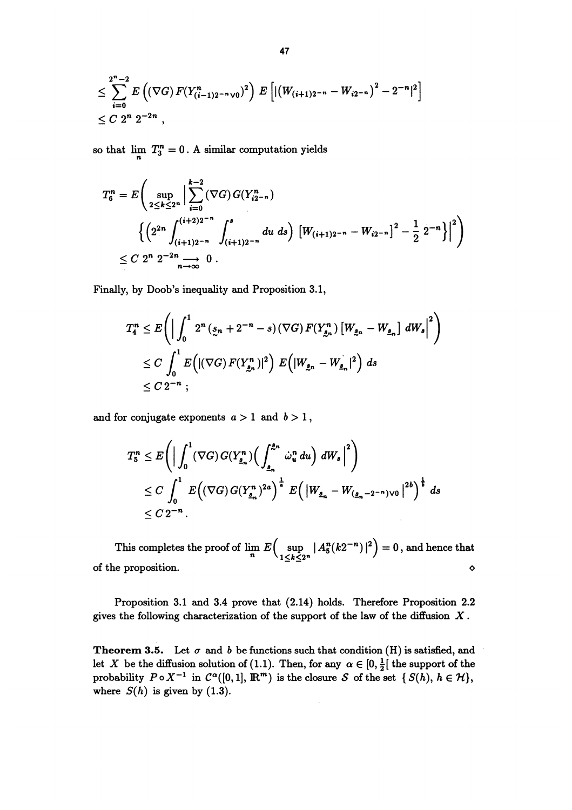$$
\leq \sum_{i=0}^{2^n-2} E\left( (\nabla G) F(Y_{(i-1)2^{-n}\sqrt{0}}^n)^2 \right) E\left[ \left| \left( W_{(i+1)2^{-n}} - W_{i2^{-n}} \right)^2 - 2^{-n} \right|^2 \right] \leq C 2^n 2^{-2n} ,
$$

so that  $\lim_{n} T_{3}^{n} = 0$ . A similar computation yields

$$
T_6^n = E\left(\sup_{2 \le k \le 2^n} \Big| \sum_{i=0}^{k-2} (\nabla G) G(Y_{i2^{-n}}^n) \right.\n\left\{ \left(2^{2n} \int_{(i+1)2^{-n}}^{(i+2)2^{-n}} \int_{(i+1)2^{-n}}^s du \ ds \right) \left[ W_{(i+1)2^{-n}} - W_{i2^{-n}} \right]^2 - \frac{1}{2} 2^{-n} \right\} \Big|^2 \right)\n\le C 2^n 2^{-2n} \longrightarrow_{n \longrightarrow \infty} 0.
$$

Finally, by Doob's inequality and Proposition 3.1,

$$
T_4^n \leq E\left( \Big|\int_0^1 2^n \left( \zeta_n + 2^{-n} - s \right) (\nabla G) \, F(Y_{\zeta_n}^n) \left[ W_{\zeta_n} - W_{\zeta_n} \right] \, dW_s \Big|^2 \right) \n\leq C \int_0^1 E\left( |(\nabla G) \, F(Y_{\zeta_n}^n)|^2 \right) \, E\left( |W_{\zeta_n} - W_{\zeta_n} |^2 \right) \, ds \n\leq C \, 2^{-n} \; ;
$$

and for conjugate exponents  $a > 1$  and  $b > 1$ ,

$$
T_5^n \leq E\left(\Big|\int_0^1 (\nabla G) G(Y_{\underline{s}_n}^n) \Big(\int_{\underline{s}_n}^{\underline{s}_n} \dot{\omega}_u^n du\Big) dW_s\Big|^2\right)
$$
  
\n
$$
\leq C \int_0^1 E\Big((\nabla G) G(Y_{\underline{s}_n}^n)^{2a}\Big)^{\frac{1}{a}} E\Big(\left|W_{\underline{s}_n} - W_{(\underline{s}_n - 2^{-n})\vee 0}\right|^{2b}\Big)^{\frac{1}{b}} ds
$$
  
\n
$$
\leq C 2^{-n}.
$$

This completes the proof of  $\lim_{n} E\left(\sup_{1\leq k\leq 2^n} |A^n_5(k2^{-n})|^2\right) = 0$ , and hence that of the proposition. o

Proposition 3.1 and 3.4 prove that (2.14) holds. Therefore Proposition 2.2 gives the following characterization of the support of the law of the diffusion  $X$ .

**Theorem 3.5.** Let  $\sigma$  and  $b$  be functions such that condition (H) is satisfied, and let X be the diffusion solution of (1.1). Then, for any  $\alpha \in [0, \frac{1}{2}]$  the support of the probability  $P \circ X^{-1}$  in  $C^{\alpha}([0,1], \mathbb{R}^m)$  is the closure S of the set  $\{S(h), h \in \mathcal{H}\},$ where  $S(h)$  is given by (1.3).